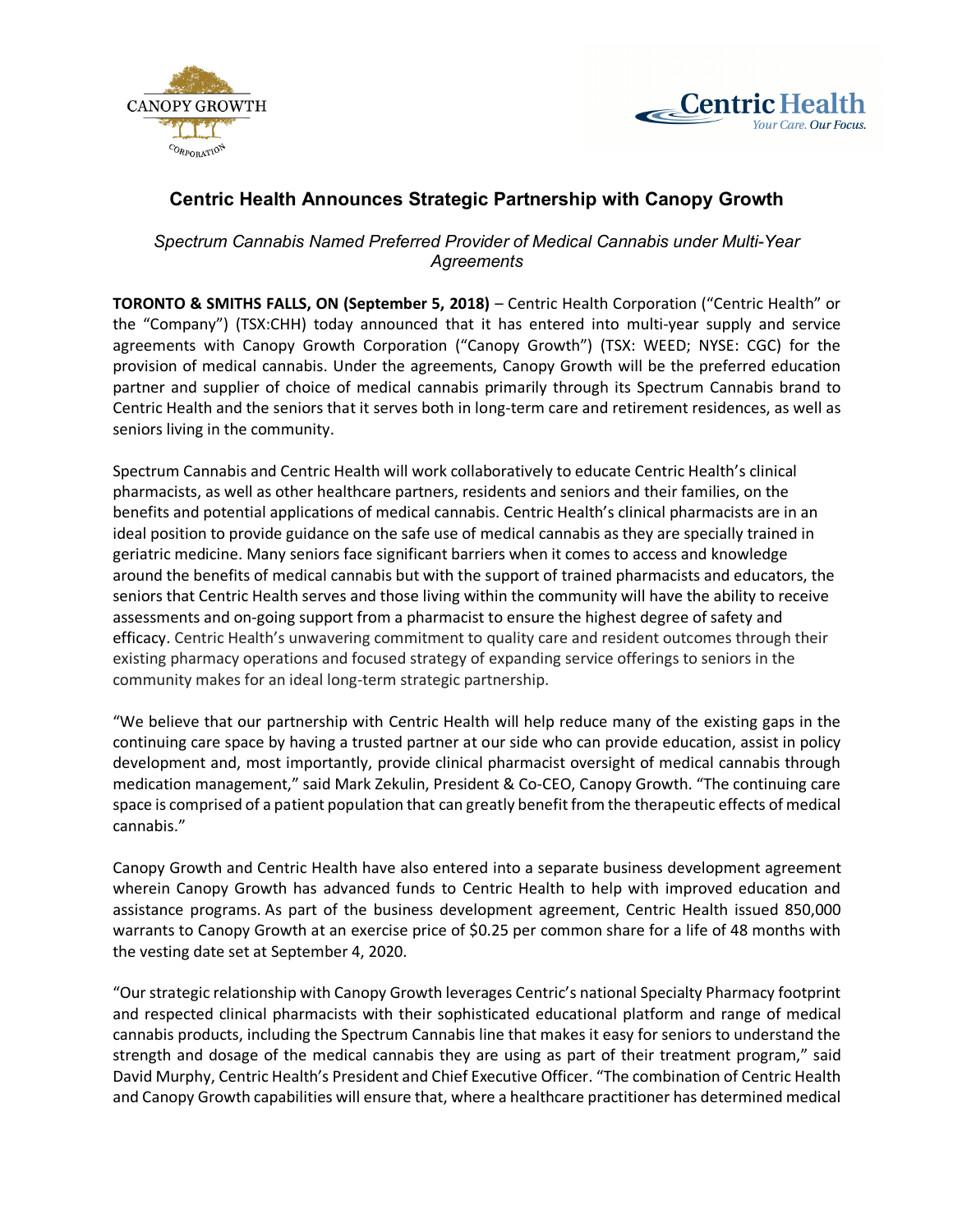



# **Centric Health Announces Strategic Partnership with Canopy Growth**

*Spectrum Cannabis Named Preferred Provider of Medical Cannabis under Multi-Year Agreements*

**TORONTO & SMITHS FALLS, ON (September 5, 2018)** – Centric Health Corporation ("Centric Health" or the "Company") (TSX:CHH) today announced that it has entered into multi-year supply and service agreements with Canopy Growth Corporation ("Canopy Growth") (TSX: WEED; NYSE: CGC) for the provision of medical cannabis. Under the agreements, Canopy Growth will be the preferred education partner and supplier of choice of medical cannabis primarily through its Spectrum Cannabis brand to Centric Health and the seniors that it serves both in long-term care and retirement residences, as well as seniors living in the community.

Spectrum Cannabis and Centric Health will work collaboratively to educate Centric Health's clinical pharmacists, as well as other healthcare partners, residents and seniors and their families, on the benefits and potential applications of medical cannabis. Centric Health's clinical pharmacists are in an ideal position to provide guidance on the safe use of medical cannabis as they are specially trained in geriatric medicine. Many seniors face significant barriers when it comes to access and knowledge around the benefits of medical cannabis but with the support of trained pharmacists and educators, the seniors that Centric Health serves and those living within the community will have the ability to receive assessments and on-going support from a pharmacist to ensure the highest degree of safety and efficacy. Centric Health's unwavering commitment to quality care and resident outcomes through their existing pharmacy operations and focused strategy of expanding service offerings to seniors in the community makes for an ideal long-term strategic partnership.

"We believe that our partnership with Centric Health will help reduce many of the existing gaps in the continuing care space by having a trusted partner at our side who can provide education, assist in policy development and, most importantly, provide clinical pharmacist oversight of medical cannabis through medication management," said Mark Zekulin, President & Co-CEO, Canopy Growth. "The continuing care space is comprised of a patient population that can greatly benefit from the therapeutic effects of medical cannabis."

Canopy Growth and Centric Health have also entered into a separate business development agreement wherein Canopy Growth has advanced funds to Centric Health to help with improved education and assistance programs. As part of the business development agreement, Centric Health issued 850,000 warrants to Canopy Growth at an exercise price of \$0.25 per common share for a life of 48 months with the vesting date set at September 4, 2020.

"Our strategic relationship with Canopy Growth leverages Centric's national Specialty Pharmacy footprint and respected clinical pharmacists with their sophisticated educational platform and range of medical cannabis products, including the Spectrum Cannabis line that makes it easy for seniors to understand the strength and dosage of the medical cannabis they are using as part of their treatment program," said David Murphy, Centric Health's President and Chief Executive Officer. "The combination of Centric Health and Canopy Growth capabilities will ensure that, where a healthcare practitioner has determined medical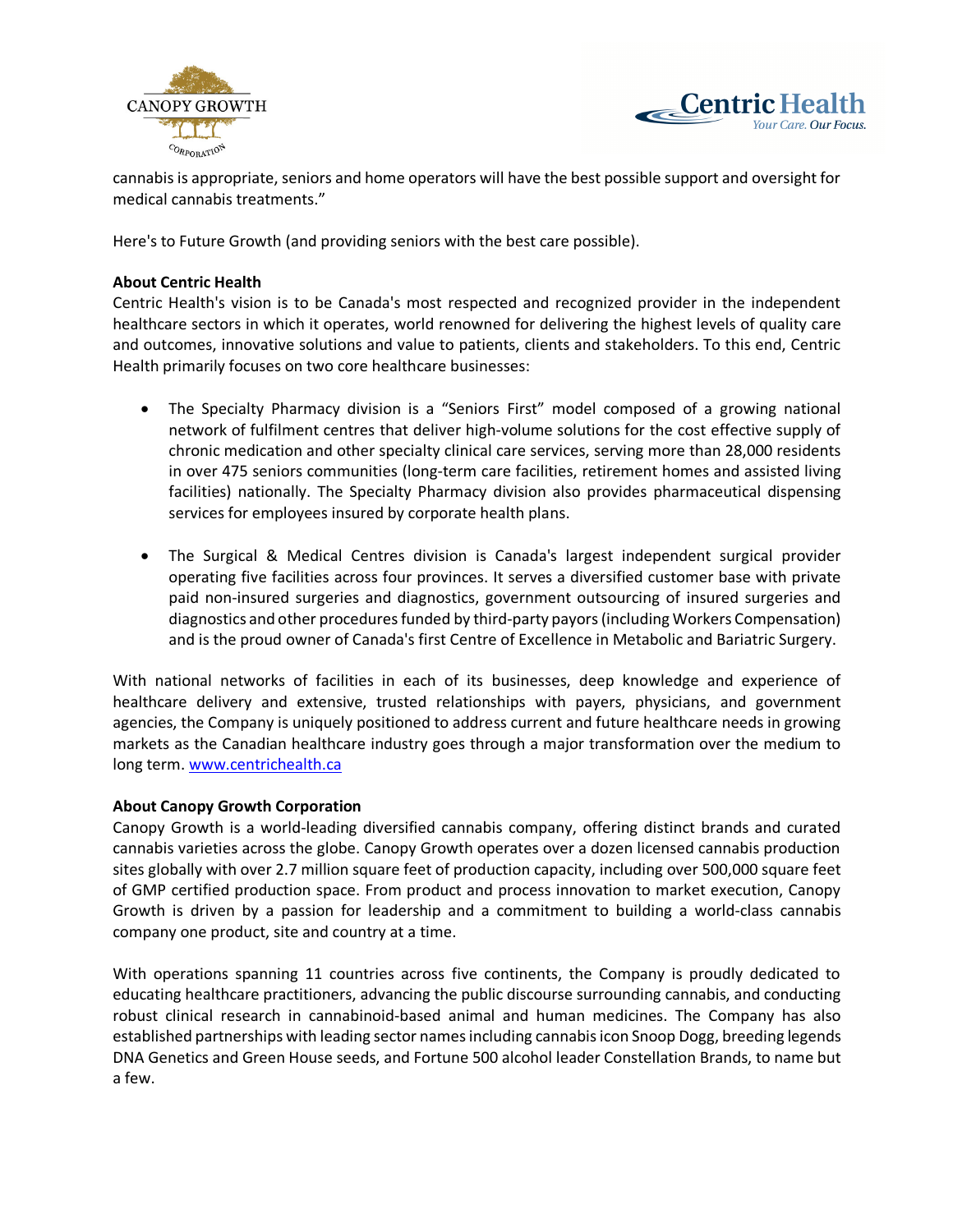



cannabis is appropriate, seniors and home operators will have the best possible support and oversight for medical cannabis treatments."

Here's to Future Growth (and providing seniors with the best care possible).

# **About Centric Health**

Centric Health's vision is to be Canada's most respected and recognized provider in the independent healthcare sectors in which it operates, world renowned for delivering the highest levels of quality care and outcomes, innovative solutions and value to patients, clients and stakeholders. To this end, Centric Health primarily focuses on two core healthcare businesses:

- The Specialty Pharmacy division is a "Seniors First" model composed of a growing national network of fulfilment centres that deliver high-volume solutions for the cost effective supply of chronic medication and other specialty clinical care services, serving more than 28,000 residents in over 475 seniors communities (long-term care facilities, retirement homes and assisted living facilities) nationally. The Specialty Pharmacy division also provides pharmaceutical dispensing services for employees insured by corporate health plans.
- The Surgical & Medical Centres division is Canada's largest independent surgical provider operating five facilities across four provinces. It serves a diversified customer base with private paid non-insured surgeries and diagnostics, government outsourcing of insured surgeries and diagnostics and other procedures funded by third-party payors (including Workers Compensation) and is the proud owner of Canada's first Centre of Excellence in Metabolic and Bariatric Surgery.

With national networks of facilities in each of its businesses, deep knowledge and experience of healthcare delivery and extensive, trusted relationships with payers, physicians, and government agencies, the Company is uniquely positioned to address current and future healthcare needs in growing markets as the Canadian healthcare industry goes through a major transformation over the medium to long term. www.centrichealth.ca

# **About Canopy Growth Corporation**

Canopy Growth is a world-leading diversified cannabis company, offering distinct brands and curated cannabis varieties across the globe. Canopy Growth operates over a dozen licensed cannabis production sites globally with over 2.7 million square feet of production capacity, including over 500,000 square feet of GMP certified production space. From product and process innovation to market execution, Canopy Growth is driven by a passion for leadership and a commitment to building a world-class cannabis company one product, site and country at a time.

With operations spanning 11 countries across five continents, the Company is proudly dedicated to educating healthcare practitioners, advancing the public discourse surrounding cannabis, and conducting robust clinical research in cannabinoid-based animal and human medicines. The Company has also established partnerships with leading sector names including cannabis icon Snoop Dogg, breeding legends DNA Genetics and Green House seeds, and Fortune 500 alcohol leader Constellation Brands, to name but a few.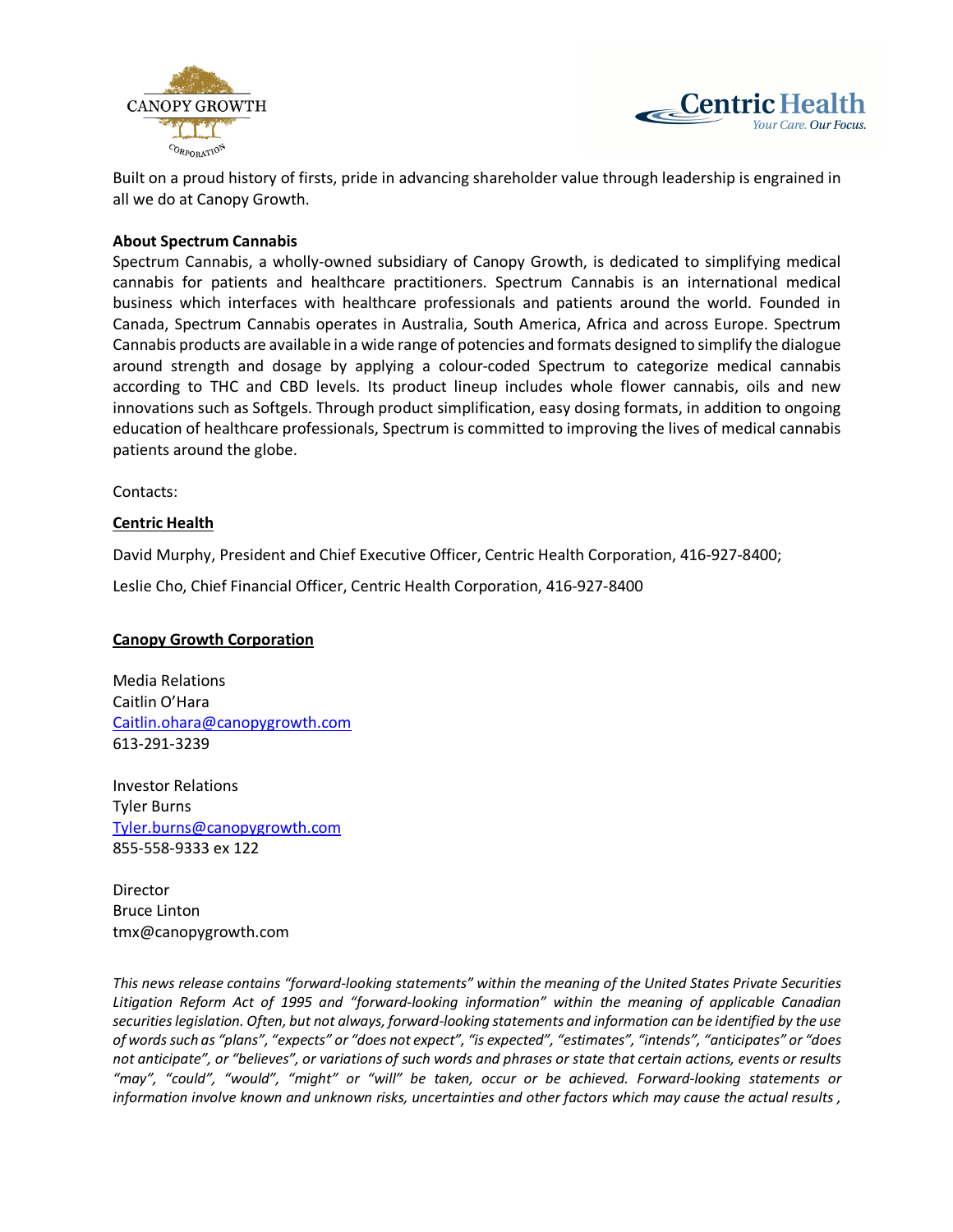



Built on a proud history of firsts, pride in advancing shareholder value through leadership is engrained in all we do at Canopy Growth.

### **About Spectrum Cannabis**

Spectrum Cannabis, a wholly-owned subsidiary of Canopy Growth, is dedicated to simplifying medical cannabis for patients and healthcare practitioners. Spectrum Cannabis is an international medical business which interfaces with healthcare professionals and patients around the world. Founded in Canada, Spectrum Cannabis operates in Australia, South America, Africa and across Europe. Spectrum Cannabis products are available in a wide range of potencies and formats designed to simplify the dialogue around strength and dosage by applying a colour-coded Spectrum to categorize medical cannabis according to THC and CBD levels. Its product lineup includes whole flower cannabis, oils and new innovations such as Softgels. Through product simplification, easy dosing formats, in addition to ongoing education of healthcare professionals, Spectrum is committed to improving the lives of medical cannabis patients around the globe.

Contacts:

### **Centric Health**

David Murphy, President and Chief Executive Officer, Centric Health Corporation, 416-927-8400;

Leslie Cho, Chief Financial Officer, Centric Health Corporation, 416-927-8400

# **Canopy Growth Corporation**

Media Relations Caitlin O'Hara Caitlin.ohara@canopygrowth.com 613-291-3239

Investor Relations Tyler Burns Tyler.burns@canopygrowth.com 855-558-9333 ex 122

Director Bruce Linton tmx@canopygrowth.com

*This news release contains "forward-looking statements" within the meaning of the United States Private Securities Litigation Reform Act of 1995 and "forward-looking information" within the meaning of applicable Canadian securities legislation. Often, but not always, forward-looking statements and information can be identified by the use of words such as "plans", "expects" or "does not expect", "is expected", "estimates", "intends", "anticipates" or "does not anticipate", or "believes", or variations of such words and phrases or state that certain actions, events or results "may", "could", "would", "might" or "will" be taken, occur or be achieved. Forward-looking statements or information involve known and unknown risks, uncertainties and other factors which may cause the actual results ,*